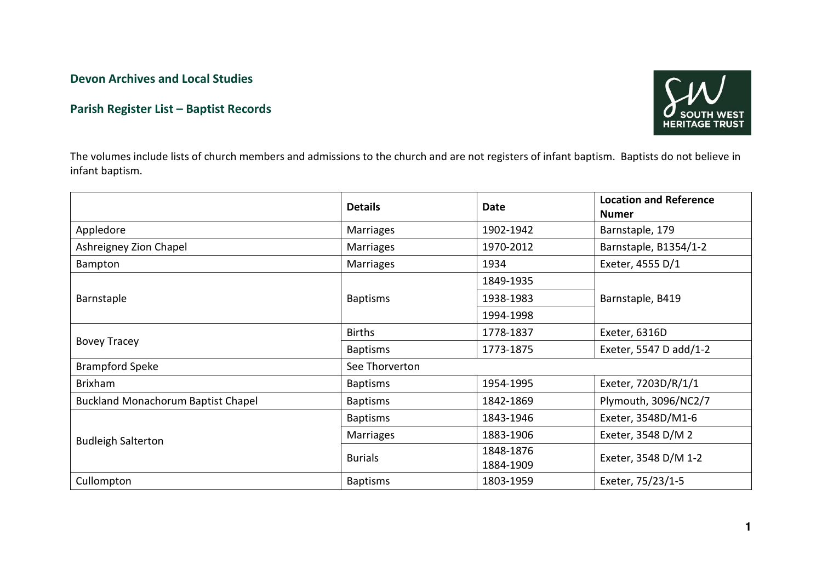Devon Archives and Local Studies

## Parish Register List – Baptist Records



The volumes include lists of church members and admissions to the church and are not registers of infant baptism. Baptists do not believe in infant baptism.

|                                           | <b>Details</b>   | <b>Date</b>            | <b>Location and Reference</b><br><b>Numer</b> |  |  |
|-------------------------------------------|------------------|------------------------|-----------------------------------------------|--|--|
| Appledore                                 | <b>Marriages</b> | 1902-1942              | Barnstaple, 179                               |  |  |
| Ashreigney Zion Chapel                    | <b>Marriages</b> | 1970-2012              | Barnstaple, B1354/1-2                         |  |  |
| Bampton                                   | Marriages        | 1934                   | Exeter, 4555 D/1                              |  |  |
| Barnstaple                                |                  | 1849-1935              | Barnstaple, B419                              |  |  |
|                                           | <b>Baptisms</b>  | 1938-1983              |                                               |  |  |
|                                           |                  | 1994-1998              |                                               |  |  |
| <b>Bovey Tracey</b>                       | <b>Births</b>    | 1778-1837              | Exeter, 6316D                                 |  |  |
|                                           | <b>Baptisms</b>  | 1773-1875              | Exeter, 5547 D add/1-2                        |  |  |
| <b>Brampford Speke</b>                    | See Thorverton   |                        |                                               |  |  |
| <b>Brixham</b>                            | <b>Baptisms</b>  | 1954-1995              | Exeter, 7203D/R/1/1                           |  |  |
| <b>Buckland Monachorum Baptist Chapel</b> | <b>Baptisms</b>  | 1842-1869              | Plymouth, 3096/NC2/7                          |  |  |
| <b>Budleigh Salterton</b>                 | <b>Baptisms</b>  | 1843-1946              | Exeter, 3548D/M1-6                            |  |  |
|                                           | Marriages        | 1883-1906              | Exeter, 3548 D/M 2                            |  |  |
|                                           | <b>Burials</b>   | 1848-1876<br>1884-1909 | Exeter, 3548 D/M 1-2                          |  |  |
| Cullompton                                | <b>Baptisms</b>  | 1803-1959              | Exeter, 75/23/1-5                             |  |  |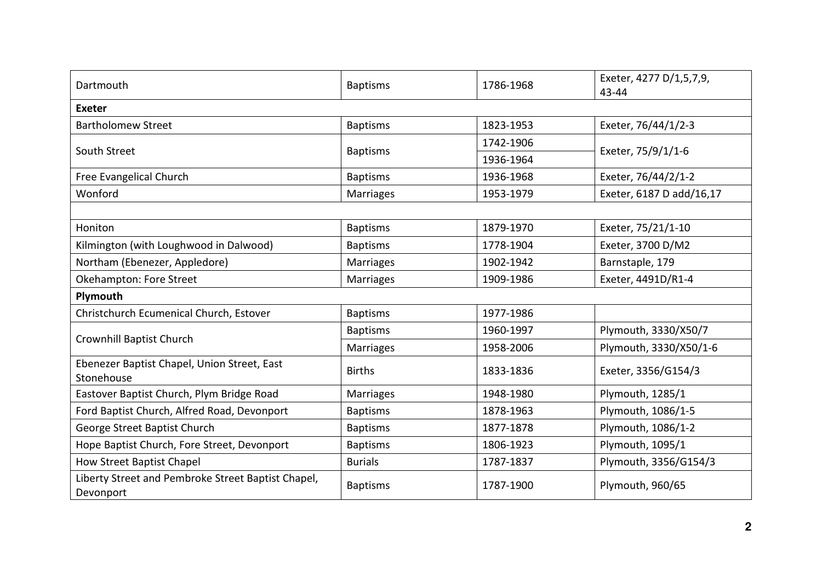| Dartmouth                                                       | <b>Baptisms</b>  | 1786-1968 | Exeter, 4277 D/1,5,7,9,<br>43-44 |  |  |  |
|-----------------------------------------------------------------|------------------|-----------|----------------------------------|--|--|--|
| <b>Exeter</b>                                                   |                  |           |                                  |  |  |  |
| <b>Bartholomew Street</b>                                       | <b>Baptisms</b>  | 1823-1953 | Exeter, 76/44/1/2-3              |  |  |  |
| South Street                                                    | <b>Baptisms</b>  | 1742-1906 | Exeter, 75/9/1/1-6               |  |  |  |
|                                                                 |                  | 1936-1964 |                                  |  |  |  |
| Free Evangelical Church                                         | <b>Baptisms</b>  | 1936-1968 | Exeter, 76/44/2/1-2              |  |  |  |
| Wonford                                                         | <b>Marriages</b> | 1953-1979 | Exeter, 6187 D add/16,17         |  |  |  |
|                                                                 |                  |           |                                  |  |  |  |
| Honiton                                                         | <b>Baptisms</b>  | 1879-1970 | Exeter, 75/21/1-10               |  |  |  |
| Kilmington (with Loughwood in Dalwood)                          | <b>Baptisms</b>  | 1778-1904 | Exeter, 3700 D/M2                |  |  |  |
| Northam (Ebenezer, Appledore)                                   | <b>Marriages</b> | 1902-1942 | Barnstaple, 179                  |  |  |  |
| Okehampton: Fore Street                                         | Marriages        | 1909-1986 | Exeter, 4491D/R1-4               |  |  |  |
| Plymouth                                                        |                  |           |                                  |  |  |  |
| Christchurch Ecumenical Church, Estover                         | <b>Baptisms</b>  | 1977-1986 |                                  |  |  |  |
| Crownhill Baptist Church                                        | <b>Baptisms</b>  | 1960-1997 | Plymouth, 3330/X50/7             |  |  |  |
|                                                                 | <b>Marriages</b> | 1958-2006 | Plymouth, 3330/X50/1-6           |  |  |  |
| Ebenezer Baptist Chapel, Union Street, East<br>Stonehouse       | <b>Births</b>    | 1833-1836 | Exeter, 3356/G154/3              |  |  |  |
| Eastover Baptist Church, Plym Bridge Road                       | <b>Marriages</b> | 1948-1980 | Plymouth, 1285/1                 |  |  |  |
| Ford Baptist Church, Alfred Road, Devonport                     | <b>Baptisms</b>  | 1878-1963 | Plymouth, 1086/1-5               |  |  |  |
| George Street Baptist Church                                    | <b>Baptisms</b>  | 1877-1878 | Plymouth, 1086/1-2               |  |  |  |
| Hope Baptist Church, Fore Street, Devonport                     | <b>Baptisms</b>  | 1806-1923 | Plymouth, 1095/1                 |  |  |  |
| How Street Baptist Chapel                                       | <b>Burials</b>   | 1787-1837 | Plymouth, 3356/G154/3            |  |  |  |
| Liberty Street and Pembroke Street Baptist Chapel,<br>Devonport | <b>Baptisms</b>  | 1787-1900 | Plymouth, 960/65                 |  |  |  |